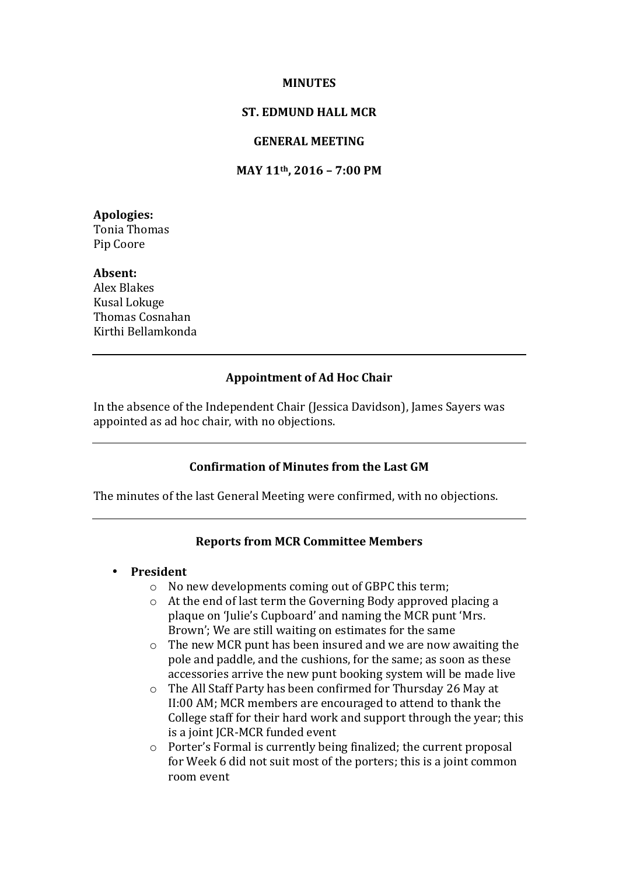### **MINUTES**

# **ST. EDMUND HALL MCR**

# **GENERAL MEETING**

# **MAY 11th, 2016 – 7:00 PM**

**Apologies:** Tonia Thomas Pip Coore

#### **Absent:**

Alex Blakes Kusal Lokuge Thomas Cosnahan Kirthi Bellamkonda

#### **Appointment of Ad Hoc Chair**

In the absence of the Independent Chair (Jessica Davidson), James Sayers was appointed as ad hoc chair, with no objections.

# **Confirmation of Minutes from the Last GM**

The minutes of the last General Meeting were confirmed, with no objections.

# **Reports from MCR Committee Members**

#### • **President**

- $\circ$  No new developments coming out of GBPC this term;
- $\circ$  At the end of last term the Governing Body approved placing a plaque on 'Julie's Cupboard' and naming the MCR punt 'Mrs. Brown'; We are still waiting on estimates for the same
- $\circ$  The new MCR punt has been insured and we are now awaiting the pole and paddle, and the cushions, for the same; as soon as these accessories arrive the new punt booking system will be made live
- o The All Staff Party has been confirmed for Thursday 26 May at II:00 AM; MCR members are encouraged to attend to thank the College staff for their hard work and support through the year; this is a joint JCR-MCR funded event
- $\circ$  Porter's Formal is currently being finalized; the current proposal for Week 6 did not suit most of the porters; this is a joint common room event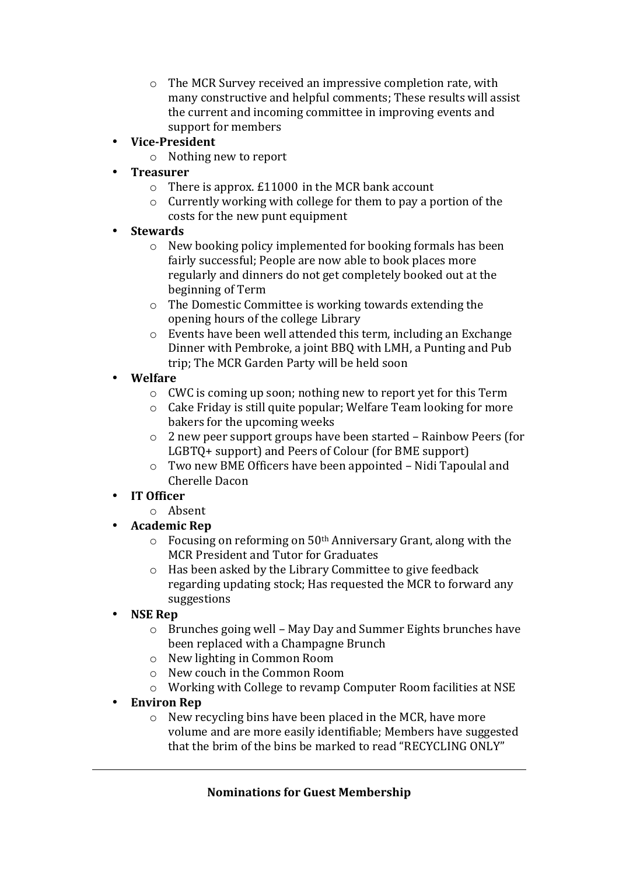- $\circ$  The MCR Survey received an impressive completion rate, with many constructive and helpful comments: These results will assist the current and incoming committee in improving events and support for members
- **Vice-President**
	- $\circ$  Nothing new to report
	- **Treasurer**
		- $\circ$  There is approx. £11000 in the MCR bank account
		- $\circ$  Currently working with college for them to pay a portion of the costs for the new punt equipment
- **Stewards**
	- $\circ$  New booking policy implemented for booking formals has been fairly successful; People are now able to book places more regularly and dinners do not get completely booked out at the beginning of Term
	- $\circ$  The Domestic Committee is working towards extending the opening hours of the college Library
	- $\circ$  Events have been well attended this term, including an Exchange Dinner with Pembroke, a joint BBQ with LMH, a Punting and Pub trip; The MCR Garden Party will be held soon
- **Welfare**
	- $\circ$  CWC is coming up soon; nothing new to report vet for this Term
	- $\circ$  Cake Friday is still quite popular: Welfare Team looking for more bakers for the upcoming weeks
	- $\circ$  2 new peer support groups have been started Rainbow Peers (for LGBTO+ support) and Peers of Colour (for BME support)
	- $\circ$  Two new BME Officers have been appointed Nidi Tapoulal and Cherelle Dacon

# • **IT Officer**

- o Absent
- **Academic Rep**
	- $\circ$  Focusing on reforming on 50<sup>th</sup> Anniversary Grant, along with the MCR President and Tutor for Graduates
	- $\circ$  Has been asked by the Library Committee to give feedback regarding updating stock; Has requested the MCR to forward any suggestions
- **NSE Rep**
	- $\circ$  Brunches going well May Day and Summer Eights brunches have been replaced with a Champagne Brunch
	- o New lighting in Common Room
	- o New couch in the Common Room
	- $\circ$  Working with College to revamp Computer Room facilities at NSE
- **Environ Rep**
	- $\circ$  New recycling bins have been placed in the MCR, have more volume and are more easily identifiable; Members have suggested that the brim of the bins be marked to read "RECYCLING ONLY"